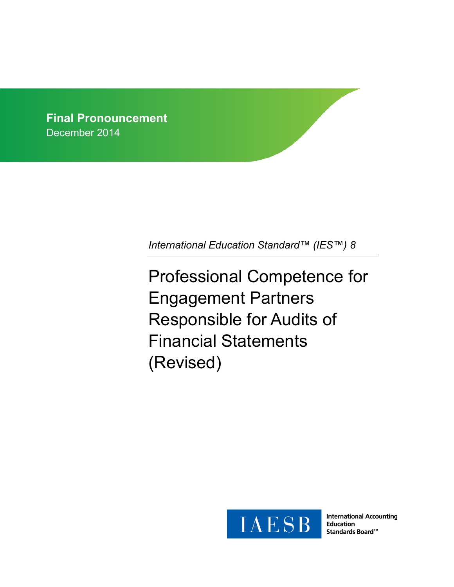**Final Pronouncement** December 2014

*International Education Standard™ (IES™) 8*

Professional Competence for Engagement Partners Responsible for Audits of Financial Statements (Revised)



**International Accounting Education** Standards Board<sup>™</sup>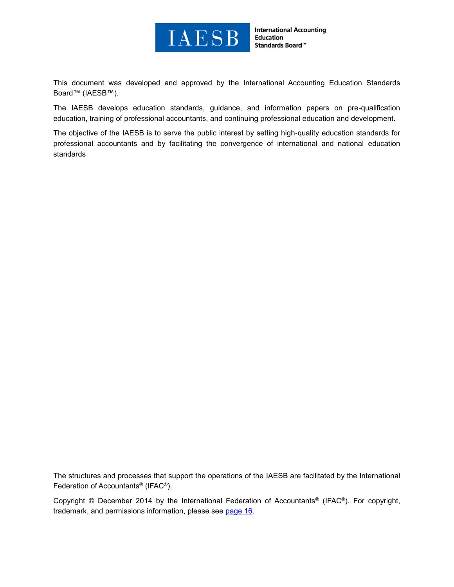

**International Accounting Education** Standards Board™

This document was developed and approved by the International Accounting Education Standards Board™ (IAESB™).

The [IAESB](http://www.ifac.org/Education/) develops education standards, guidance, and information papers on pre-qualification education, training of professional accountants, and continuing professional education and development.

The objective of the IAESB is to serve the public interest by setting high-quality education standards for professional accountants and by facilitating the convergence of international and national education standards

The structures and processes that support the operations of the IAESB are facilitated by the International Federation of Accountants® (IFAC®).

Copyright © December 2014 by the International Federation of Accountants® (IFAC®). For copyright, trademark, and permissions information, please see [page 16.](#page-15-0)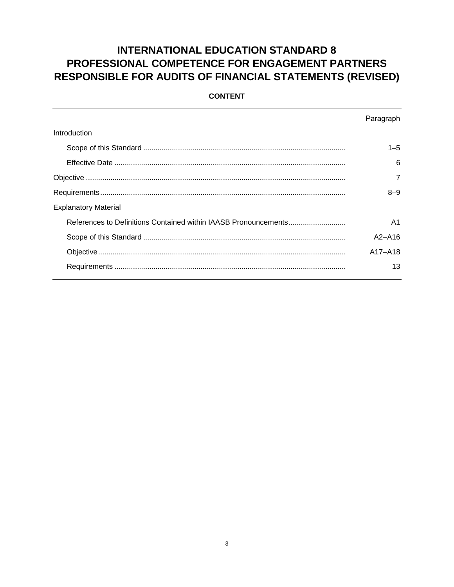# **INTERNATIONAL EDUCATION STANDARD 8** PROFESSIONAL COMPETENCE FOR ENGAGEMENT PARTNERS **RESPONSIBLE FOR AUDITS OF FINANCIAL STATEMENTS (REVISED)**

|                             | Paragraph      |
|-----------------------------|----------------|
| Introduction                |                |
|                             | $1 - 5$        |
|                             | 6              |
|                             | 7              |
|                             | $8 - 9$        |
| <b>Explanatory Material</b> |                |
|                             | A <sub>1</sub> |
|                             | $A2 - A16$     |
|                             | A17-A18        |
|                             | 13             |
|                             |                |

#### **CONTENT**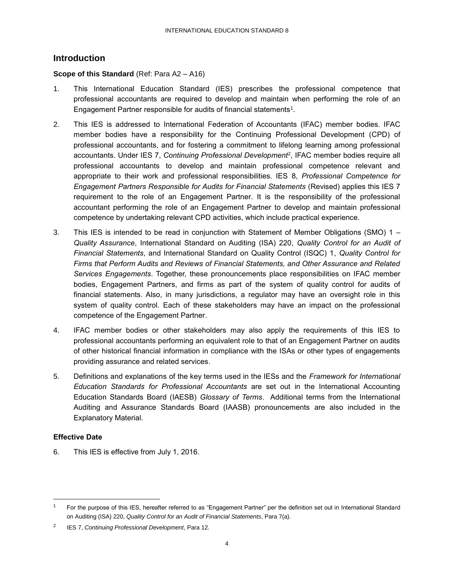### <span id="page-3-0"></span>**Introduction**

#### <span id="page-3-1"></span>**Scope of this Standard** (Ref: Para A2 – A16)

- 1. This International Education Standard (IES) prescribes the professional competence that professional accountants are required to develop and maintain when performing the role of an Engagement Partner responsible for audits of financial statements<sup>1</sup>.
- 2. This IES is addressed to International Federation of Accountants (IFAC) member bodies. IFAC member bodies have a responsibility for the Continuing Professional Development (CPD) of professional accountants, and for fostering a commitment to lifelong learning among professional accountants. Under IES 7, *Continuing Professional Development*<sup>2</sup> , IFAC member bodies require all professional accountants to develop and maintain professional competence relevant and appropriate to their work and professional responsibilities. IES 8, *Professional Competence for Engagement Partners Responsible for Audits for Financial Statements* (Revised) applies this IES 7 requirement to the role of an Engagement Partner. It is the responsibility of the professional accountant performing the role of an Engagement Partner to develop and maintain professional competence by undertaking relevant CPD activities, which include practical experience.
- 3. This IES is intended to be read in conjunction with Statement of Member Obligations (SMO) 1 *– Quality Assurance*, International Standard on Auditing (ISA) 220, *Quality Control for an Audit of Financial Statements*, and International Standard on Quality Control (ISQC) 1, *Quality Control for Firms that Perform Audits and Reviews of Financial Statements, and Other Assurance and Related Services Engagements*. Together, these pronouncements place responsibilities on IFAC member bodies, Engagement Partners, and firms as part of the system of quality control for audits of financial statements. Also, in many jurisdictions, a regulator may have an oversight role in this system of quality control. Each of these stakeholders may have an impact on the professional competence of the Engagement Partner.
- 4. IFAC member bodies or other stakeholders may also apply the requirements of this IES to professional accountants performing an equivalent role to that of an Engagement Partner on audits of other historical financial information in compliance with the ISAs or other types of engagements providing assurance and related services.
- 5. Definitions and explanations of the key terms used in the IESs and the *Framework for International Education Standards for Professional Accountants* are set out in the International Accounting Education Standards Board (IAESB) *Glossary of Terms*. Additional terms from the International Auditing and Assurance Standards Board (IAASB) pronouncements are also included in the Explanatory Material.

#### <span id="page-3-2"></span>**Effective Date**

l

6. This IES is effective from July 1, 2016.

<sup>1</sup> For the purpose of this IES, hereafter referred to as "Engagement Partner" per the definition set out in International Standard on Auditing (ISA) 220, *Quality Control for an Audit of Financial Statements*, Para 7(a).

<sup>2</sup> IES 7, *Continuing Professional Development*, Para 12.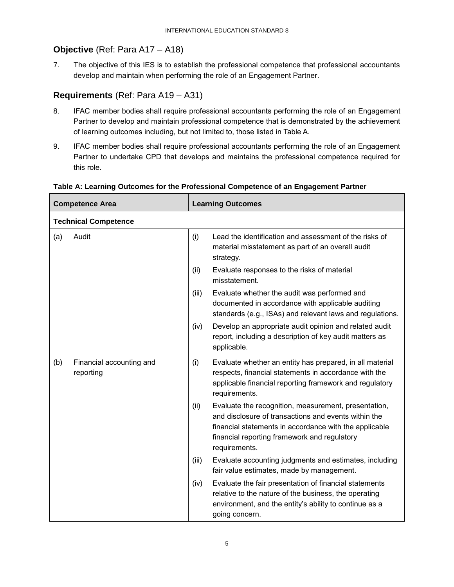## <span id="page-4-0"></span>**Objective** (Ref: Para A17 – A18)

7. The objective of this IES is to establish the professional competence that professional accountants develop and maintain when performing the role of an Engagement Partner.

## <span id="page-4-1"></span>**Requirements** (Ref: Para A19 – A31)

- 8. IFAC member bodies shall require professional accountants performing the role of an Engagement Partner to develop and maintain professional competence that is demonstrated by the achievement of learning outcomes including, but not limited to, those listed in Table A.
- 9. IFAC member bodies shall require professional accountants performing the role of an Engagement Partner to undertake CPD that develops and maintains the professional competence required for this role.

| <b>Competence Area</b> |                                       | <b>Learning Outcomes</b> |                                                                                                                                                                                                                                         |
|------------------------|---------------------------------------|--------------------------|-----------------------------------------------------------------------------------------------------------------------------------------------------------------------------------------------------------------------------------------|
|                        | <b>Technical Competence</b>           |                          |                                                                                                                                                                                                                                         |
| (a)                    | Audit                                 | (i)                      | Lead the identification and assessment of the risks of<br>material misstatement as part of an overall audit<br>strategy.                                                                                                                |
|                        |                                       | (ii)                     | Evaluate responses to the risks of material<br>misstatement.                                                                                                                                                                            |
|                        |                                       | (iii)                    | Evaluate whether the audit was performed and<br>documented in accordance with applicable auditing<br>standards (e.g., ISAs) and relevant laws and regulations.                                                                          |
|                        |                                       | (iv)                     | Develop an appropriate audit opinion and related audit<br>report, including a description of key audit matters as<br>applicable.                                                                                                        |
| (b)                    | Financial accounting and<br>reporting | (i)                      | Evaluate whether an entity has prepared, in all material<br>respects, financial statements in accordance with the<br>applicable financial reporting framework and regulatory<br>requirements.                                           |
|                        |                                       | (ii)                     | Evaluate the recognition, measurement, presentation,<br>and disclosure of transactions and events within the<br>financial statements in accordance with the applicable<br>financial reporting framework and regulatory<br>requirements. |
|                        |                                       | (iii)                    | Evaluate accounting judgments and estimates, including<br>fair value estimates, made by management.                                                                                                                                     |
|                        |                                       | (iv)                     | Evaluate the fair presentation of financial statements<br>relative to the nature of the business, the operating<br>environment, and the entity's ability to continue as a<br>going concern.                                             |

#### **Table A: Learning Outcomes for the Professional Competence of an Engagement Partner**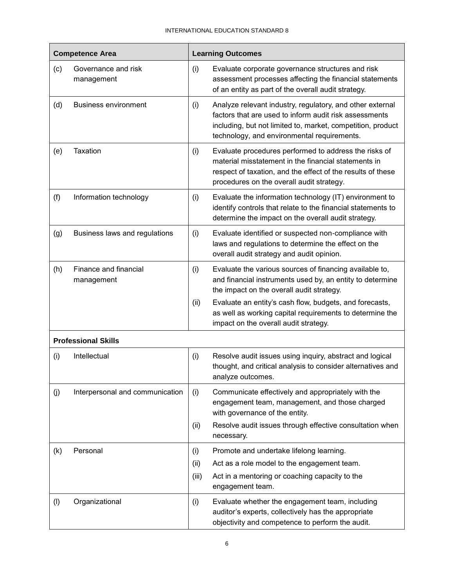Ť

| <b>Competence Area</b>     |                                     | <b>Learning Outcomes</b> |                                                                                                                                                                                                                                   |  |
|----------------------------|-------------------------------------|--------------------------|-----------------------------------------------------------------------------------------------------------------------------------------------------------------------------------------------------------------------------------|--|
| (c)                        | Governance and risk<br>management   | (i)                      | Evaluate corporate governance structures and risk<br>assessment processes affecting the financial statements<br>of an entity as part of the overall audit strategy.                                                               |  |
| (d)                        | <b>Business environment</b>         | (i)                      | Analyze relevant industry, regulatory, and other external<br>factors that are used to inform audit risk assessments<br>including, but not limited to, market, competition, product<br>technology, and environmental requirements. |  |
| (e)                        | <b>Taxation</b>                     | (i)                      | Evaluate procedures performed to address the risks of<br>material misstatement in the financial statements in<br>respect of taxation, and the effect of the results of these<br>procedures on the overall audit strategy.         |  |
| (f)                        | Information technology              | (i)                      | Evaluate the information technology (IT) environment to<br>identify controls that relate to the financial statements to<br>determine the impact on the overall audit strategy.                                                    |  |
| (g)                        | Business laws and regulations       | (i)                      | Evaluate identified or suspected non-compliance with<br>laws and regulations to determine the effect on the<br>overall audit strategy and audit opinion.                                                                          |  |
| (h)                        | Finance and financial<br>management | (i)                      | Evaluate the various sources of financing available to,<br>and financial instruments used by, an entity to determine<br>the impact on the overall audit strategy.                                                                 |  |
|                            |                                     | (ii)                     | Evaluate an entity's cash flow, budgets, and forecasts,<br>as well as working capital requirements to determine the<br>impact on the overall audit strategy.                                                                      |  |
| <b>Professional Skills</b> |                                     |                          |                                                                                                                                                                                                                                   |  |
| (i)                        | Intellectual                        | (i)                      | Resolve audit issues using inquiry, abstract and logical<br>thought, and critical analysis to consider alternatives and<br>analyze outcomes.                                                                                      |  |
| (j)                        | Interpersonal and communication     | (i)                      | Communicate effectively and appropriately with the<br>engagement team, management, and those charged<br>with governance of the entity.                                                                                            |  |
|                            |                                     | (ii)                     | Resolve audit issues through effective consultation when<br>necessary.                                                                                                                                                            |  |
| (k)                        | Personal                            | (i)                      | Promote and undertake lifelong learning.                                                                                                                                                                                          |  |
|                            |                                     | (ii)                     | Act as a role model to the engagement team.                                                                                                                                                                                       |  |
|                            |                                     | (iii)                    | Act in a mentoring or coaching capacity to the<br>engagement team.                                                                                                                                                                |  |
| $($ l $)$                  | Organizational                      | (i)                      | Evaluate whether the engagement team, including<br>auditor's experts, collectively has the appropriate<br>objectivity and competence to perform the audit.                                                                        |  |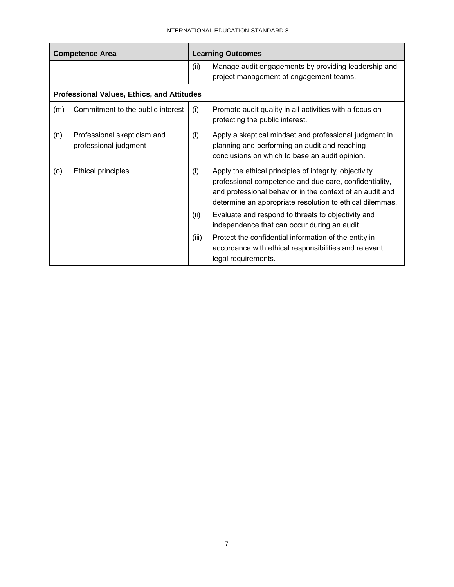| <b>Competence Area</b> |                                                      | <b>Learning Outcomes</b> |                                                                                                                                                                                                                                           |  |
|------------------------|------------------------------------------------------|--------------------------|-------------------------------------------------------------------------------------------------------------------------------------------------------------------------------------------------------------------------------------------|--|
|                        |                                                      | (ii)                     | Manage audit engagements by providing leadership and<br>project management of engagement teams.                                                                                                                                           |  |
|                        | <b>Professional Values, Ethics, and Attitudes</b>    |                          |                                                                                                                                                                                                                                           |  |
| (m)                    | Commitment to the public interest                    | (i)                      | Promote audit quality in all activities with a focus on<br>protecting the public interest.                                                                                                                                                |  |
| (n)                    | Professional skepticism and<br>professional judgment | (i)                      | Apply a skeptical mindset and professional judgment in<br>planning and performing an audit and reaching<br>conclusions on which to base an audit opinion.                                                                                 |  |
| (o)                    | <b>Ethical principles</b>                            | (i)                      | Apply the ethical principles of integrity, objectivity,<br>professional competence and due care, confidentiality,<br>and professional behavior in the context of an audit and<br>determine an appropriate resolution to ethical dilemmas. |  |
|                        |                                                      | (ii)                     | Evaluate and respond to threats to objectivity and<br>independence that can occur during an audit.                                                                                                                                        |  |
|                        |                                                      | (iii)                    | Protect the confidential information of the entity in<br>accordance with ethical responsibilities and relevant<br>legal requirements.                                                                                                     |  |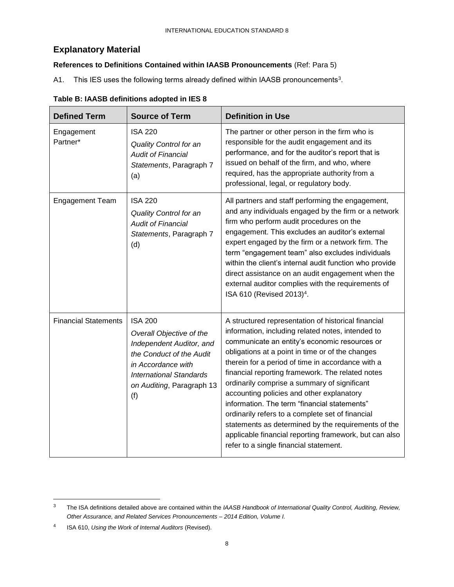# <span id="page-7-0"></span>**Explanatory Material**

### <span id="page-7-1"></span>**References to Definitions Contained within IAASB Pronouncements** (Ref: Para 5)

A1. This IES uses the following terms already defined within IAASB pronouncements<sup>3</sup>.

| <b>Defined Term</b>         | <b>Source of Term</b>                                                                                                                                                                          | <b>Definition in Use</b>                                                                                                                                                                                                                                                                                                                                                                                                                                                                                                                                                                                                                                                           |
|-----------------------------|------------------------------------------------------------------------------------------------------------------------------------------------------------------------------------------------|------------------------------------------------------------------------------------------------------------------------------------------------------------------------------------------------------------------------------------------------------------------------------------------------------------------------------------------------------------------------------------------------------------------------------------------------------------------------------------------------------------------------------------------------------------------------------------------------------------------------------------------------------------------------------------|
| Engagement<br>Partner*      | <b>ISA 220</b><br>Quality Control for an<br><b>Audit of Financial</b><br>Statements, Paragraph 7<br>(a)                                                                                        | The partner or other person in the firm who is<br>responsible for the audit engagement and its<br>performance, and for the auditor's report that is<br>issued on behalf of the firm, and who, where<br>required, has the appropriate authority from a<br>professional, legal, or regulatory body.                                                                                                                                                                                                                                                                                                                                                                                  |
| <b>Engagement Team</b>      | <b>ISA 220</b><br><b>Quality Control for an</b><br><b>Audit of Financial</b><br>Statements, Paragraph 7<br>(d)                                                                                 | All partners and staff performing the engagement,<br>and any individuals engaged by the firm or a network<br>firm who perform audit procedures on the<br>engagement. This excludes an auditor's external<br>expert engaged by the firm or a network firm. The<br>term "engagement team" also excludes individuals<br>within the client's internal audit function who provide<br>direct assistance on an audit engagement when the<br>external auditor complies with the requirements of<br>ISA 610 (Revised 2013) <sup>4</sup> .                                                                                                                                                   |
| <b>Financial Statements</b> | <b>ISA 200</b><br>Overall Objective of the<br>Independent Auditor, and<br>the Conduct of the Audit<br>in Accordance with<br><b>International Standards</b><br>on Auditing, Paragraph 13<br>(f) | A structured representation of historical financial<br>information, including related notes, intended to<br>communicate an entity's economic resources or<br>obligations at a point in time or of the changes<br>therein for a period of time in accordance with a<br>financial reporting framework. The related notes<br>ordinarily comprise a summary of significant<br>accounting policies and other explanatory<br>information. The term "financial statements"<br>ordinarily refers to a complete set of financial<br>statements as determined by the requirements of the<br>applicable financial reporting framework, but can also<br>refer to a single financial statement. |

### **Table B: IAASB definitions adopted in IES 8**

<sup>3</sup> The ISA definitions detailed above are contained within the *IAASB Handbook of International Quality Control, Auditing, Review, Other Assurance, and Related Services Pronouncements – 2014 Edition, Volume I.*

<sup>4</sup> ISA 610, *Using the Work of Internal Auditors* (Revised).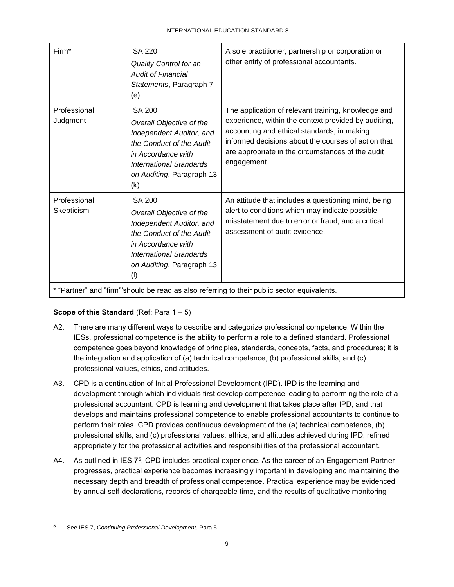| Firm*                                                                                       | <b>ISA 220</b><br>Quality Control for an<br><b>Audit of Financial</b><br>Statements, Paragraph 7<br>(e)                                                                                 | A sole practitioner, partnership or corporation or<br>other entity of professional accountants.                                                                                                                                                                                       |  |  |
|---------------------------------------------------------------------------------------------|-----------------------------------------------------------------------------------------------------------------------------------------------------------------------------------------|---------------------------------------------------------------------------------------------------------------------------------------------------------------------------------------------------------------------------------------------------------------------------------------|--|--|
| Professional<br>Judgment                                                                    | <b>ISA 200</b><br>Overall Objective of the<br>Independent Auditor, and<br>the Conduct of the Audit<br>in Accordance with<br>International Standards<br>on Auditing, Paragraph 13<br>(k) | The application of relevant training, knowledge and<br>experience, within the context provided by auditing,<br>accounting and ethical standards, in making<br>informed decisions about the courses of action that<br>are appropriate in the circumstances of the audit<br>engagement. |  |  |
| Professional<br>Skepticism                                                                  | <b>ISA 200</b><br>Overall Objective of the<br>Independent Auditor, and<br>the Conduct of the Audit<br>in Accordance with<br>International Standards<br>on Auditing, Paragraph 13<br>(1) | An attitude that includes a questioning mind, being<br>alert to conditions which may indicate possible<br>misstatement due to error or fraud, and a critical<br>assessment of audit evidence.                                                                                         |  |  |
| * "Partner" and "firm"'should be read as also referring to their public sector equivalents. |                                                                                                                                                                                         |                                                                                                                                                                                                                                                                                       |  |  |

### <span id="page-8-0"></span>**Scope of this Standard (Ref: Para 1 – 5)**

- A2. There are many different ways to describe and categorize professional competence. Within the IESs, professional competence is the ability to perform a role to a defined standard. Professional competence goes beyond knowledge of principles, standards, concepts, facts, and procedures; it is the integration and application of (a) technical competence, (b) professional skills, and (c) professional values, ethics, and attitudes.
- A3. CPD is a continuation of Initial Professional Development (IPD). IPD is the learning and development through which individuals first develop competence leading to performing the role of a professional accountant. CPD is learning and development that takes place after IPD, and that develops and maintains professional competence to enable professional accountants to continue to perform their roles. CPD provides continuous development of the (a) technical competence, (b) professional skills, and (c) professional values, ethics, and attitudes achieved during IPD, refined appropriately for the professional activities and responsibilities of the professional accountant.
- A4. As outlined in IES 7<sup>5</sup>, CPD includes practical experience. As the career of an Engagement Partner progresses, practical experience becomes increasingly important in developing and maintaining the necessary depth and breadth of professional competence. Practical experience may be evidenced by annual self-declarations, records of chargeable time, and the results of qualitative monitoring

<sup>5</sup> See IES 7, *Continuing Professional Development*, Para 5.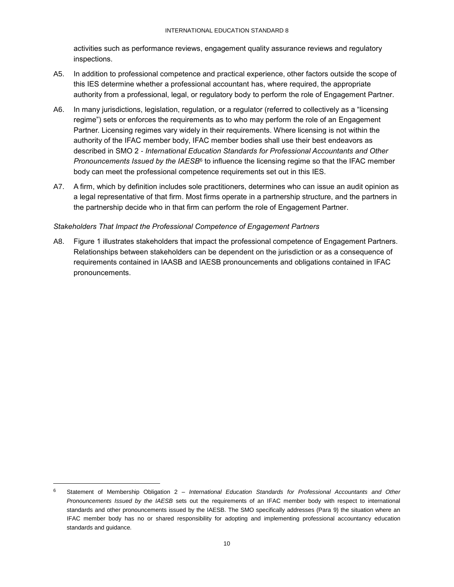activities such as performance reviews, engagement quality assurance reviews and regulatory inspections.

- A5. In addition to professional competence and practical experience, other factors outside the scope of this IES determine whether a professional accountant has, where required, the appropriate authority from a professional, legal, or regulatory body to perform the role of Engagement Partner.
- A6. In many jurisdictions, legislation, regulation, or a regulator (referred to collectively as a "licensing regime") sets or enforces the requirements as to who may perform the role of an Engagement Partner. Licensing regimes vary widely in their requirements. Where licensing is not within the authority of the IFAC member body, IFAC member bodies shall use their best endeavors as described in SMO 2 - *International Education Standards for Professional Accountants and Other*  Pronouncements Issued by the IAESB<sup>6</sup> to influence the licensing regime so that the IFAC member body can meet the professional competence requirements set out in this IES.
- A7. A firm, which by definition includes sole practitioners, determines who can issue an audit opinion as a legal representative of that firm. Most firms operate in a partnership structure, and the partners in the partnership decide who in that firm can perform the role of Engagement Partner.

#### *Stakeholders That Impact the Professional Competence of Engagement Partners*

A8. Figure 1 illustrates stakeholders that impact the professional competence of Engagement Partners. Relationships between stakeholders can be dependent on the jurisdiction or as a consequence of requirements contained in IAASB and IAESB pronouncements and obligations contained in IFAC pronouncements.

<sup>6</sup> Statement of Membership Obligation 2 – *International Education Standards for Professional Accountants and Other Pronouncements Issued by the IAESB* sets out the requirements of an IFAC member body with respect to international standards and other pronouncements issued by the IAESB. The SMO specifically addresses (Para 9) the situation where an IFAC member body has no or shared responsibility for adopting and implementing professional accountancy education standards and guidance.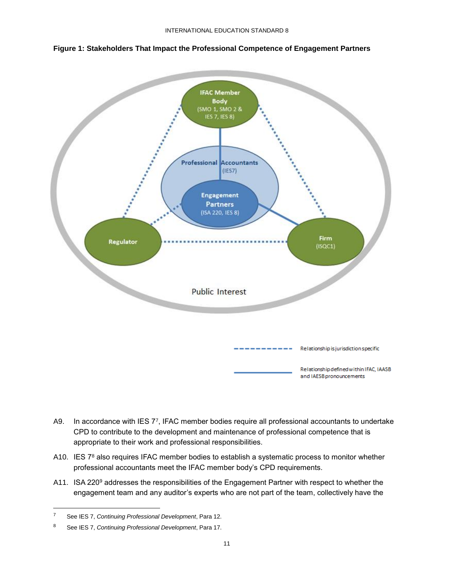



- A9. In accordance with IES 7<sup>7</sup>, IFAC member bodies require all professional accountants to undertake CPD to contribute to the development and maintenance of professional competence that is appropriate to their work and professional responsibilities.
- A10. IES 7<sup>8</sup> also requires IFAC member bodies to establish a systematic process to monitor whether professional accountants meet the IFAC member body's CPD requirements.
- A11. ISA 220<sup>9</sup> addresses the responsibilities of the Engagement Partner with respect to whether the engagement team and any auditor's experts who are not part of the team, collectively have the

<sup>7</sup> See IES 7, *Continuing Professional Development*, Para 12.

<sup>8</sup> See IES 7, *Continuing Professional Development*, Para 17.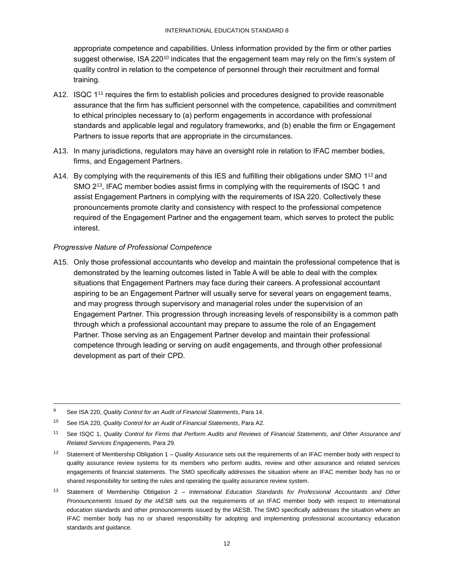appropriate competence and capabilities. Unless information provided by the firm or other parties suggest otherwise, ISA 220<sup>10</sup> indicates that the engagement team may rely on the firm's system of quality control in relation to the competence of personnel through their recruitment and formal training.

- A12. ISQC 1<sup>11</sup> requires the firm to establish policies and procedures designed to provide reasonable assurance that the firm has sufficient personnel with the competence, capabilities and commitment to ethical principles necessary to (a) perform engagements in accordance with professional standards and applicable legal and regulatory frameworks, and (b) enable the firm or Engagement Partners to issue reports that are appropriate in the circumstances.
- A13. In many jurisdictions, regulators may have an oversight role in relation to IFAC member bodies, firms, and Engagement Partners.
- A14. By complying with the requirements of this IES and fulfilling their obligations under SMO 1<sup>12</sup> and SMO 2<sup>13</sup>, IFAC member bodies assist firms in complying with the requirements of ISQC 1 and assist Engagement Partners in complying with the requirements of ISA 220. Collectively these pronouncements promote clarity and consistency with respect to the professional competence required of the Engagement Partner and the engagement team, which serves to protect the public interest.

#### *Progressive Nature of Professional Competence*

A15. Only those professional accountants who develop and maintain the professional competence that is demonstrated by the learning outcomes listed in Table A will be able to deal with the complex situations that Engagement Partners may face during their careers. A professional accountant aspiring to be an Engagement Partner will usually serve for several years on engagement teams, and may progress through supervisory and managerial roles under the supervision of an Engagement Partner. This progression through increasing levels of responsibility is a common path through which a professional accountant may prepare to assume the role of an Engagement Partner. Those serving as an Engagement Partner develop and maintain their professional competence through leading or serving on audit engagements, and through other professional development as part of their CPD.

<sup>9</sup> See ISA 220, *Quality Control for an Audit of Financial Statements*, Para 14.

<sup>10</sup> See ISA 220, *Quality Control for an Audit of Financial Statements*, Para A2.

<sup>11</sup> See ISQC 1, *Quality Control for Firms that Perform Audits and Reviews of Financial Statements, and Other Assurance and Related Services Engagements,* Para 29.

<sup>12</sup> Statement of Membership Obligation 1 – *Quality Assurance* sets out the requirements of an IFAC member body with respect to quality assurance review systems for its members who perform audits, review and other assurance and related services engagements of financial statements. The SMO specifically addresses the situation where an IFAC member body has no or shared responsibility for setting the rules and operating the quality assurance review system.

<sup>13</sup> Statement of Membership Obligation 2 – *International Education Standards for Professional Accountants and Other Pronouncements Issued by the IAESB* sets out the requirements of an IFAC member body with respect to international education standards and other pronouncements issued by the IAESB. The SMO specifically addresses the situation where an IFAC member body has no or shared responsibility for adopting and implementing professional accountancy education standards and guidance.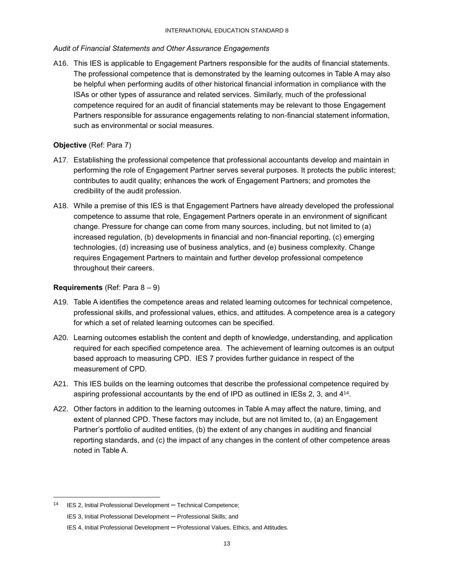#### *Audit of Financial Statements and Other Assurance Engagements*

A16. This IES is applicable to Engagement Partners responsible for the audits of financial statements. The professional competence that is demonstrated by the learning outcomes in Table A may also be helpful when performing audits of other historical financial information in compliance with the ISAs or other types of assurance and related services. Similarly, much of the professional competence required for an audit of financial statements may be relevant to those Engagement Partners responsible for assurance engagements relating to non-financial statement information, such as environmental or social measures.

#### <span id="page-12-0"></span>**Objective** (Ref: Para 7)

- A17. Establishing the professional competence that professional accountants develop and maintain in performing the role of Engagement Partner serves several purposes. It protects the public interest; contributes to audit quality; enhances the work of Engagement Partners; and promotes the credibility of the audit profession.
- A18. While a premise of this IES is that Engagement Partners have already developed the professional competence to assume that role, Engagement Partners operate in an environment of significant change. Pressure for change can come from many sources, including, but not limited to (a) increased regulation, (b) developments in financial and non-financial reporting, (c) emerging technologies, (d) increasing use of business analytics, and (e) business complexity. Change requires Engagement Partners to maintain and further develop professional competence throughout their careers.

#### <span id="page-12-1"></span>**Requirements** (Ref: Para 8 – 9)

- A19. Table A identifies the competence areas and related learning outcomes for technical competence, professional skills, and professional values, ethics, and attitudes. A competence area is a category for which a set of related learning outcomes can be specified.
- A20. Learning outcomes establish the content and depth of knowledge, understanding, and application required for each specified competence area. The achievement of learning outcomes is an output based approach to measuring CPD. IES 7 provides further guidance in respect of the measurement of CPD.
- A21. This IES builds on the learning outcomes that describe the professional competence required by aspiring professional accountants by the end of IPD as outlined in IESs 2, 3, and 4<sup>14</sup>.
- A22. Other factors in addition to the learning outcomes in Table A may affect the nature, timing, and extent of planned CPD. These factors may include, but are not limited to, (a) an Engagement Partner's portfolio of audited entities, (b) the extent of any changes in auditing and financial reporting standards, and (c) the impact of any changes in the content of other competence areas noted in Table A.

<sup>14</sup> IES 2, Initial Professional Development *–* Technical Competence;

IES 3, Initial Professional Development *–* Professional Skills; and

IES 4, Initial Professional Development *–* Professional Values, Ethics, and Attitudes.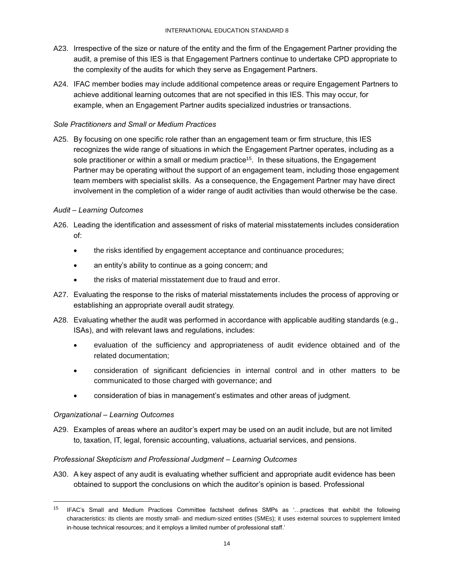- A23. Irrespective of the size or nature of the entity and the firm of the Engagement Partner providing the audit, a premise of this IES is that Engagement Partners continue to undertake CPD appropriate to the complexity of the audits for which they serve as Engagement Partners.
- A24. IFAC member bodies may include additional competence areas or require Engagement Partners to achieve additional learning outcomes that are not specified in this IES. This may occur, for example, when an Engagement Partner audits specialized industries or transactions.

#### *Sole Practitioners and Small or Medium Practices*

A25. By focusing on one specific role rather than an engagement team or firm structure, this IES recognizes the wide range of situations in which the Engagement Partner operates, including as a sole practitioner or within a small or medium practice<sup>15</sup>. In these situations, the Engagement Partner may be operating without the support of an engagement team, including those engagement team members with specialist skills. As a consequence, the Engagement Partner may have direct involvement in the completion of a wider range of audit activities than would otherwise be the case.

#### *Audit – Learning Outcomes*

- A26. Leading the identification and assessment of risks of material misstatements includes consideration of:
	- the risks identified by engagement acceptance and continuance procedures;
	- an entity's ability to continue as a going concern; and
	- the risks of material misstatement due to fraud and error.
- A27. Evaluating the response to the risks of material misstatements includes the process of approving or establishing an appropriate overall audit strategy.
- A28. Evaluating whether the audit was performed in accordance with applicable auditing standards (e.g., ISAs), and with relevant laws and regulations, includes:
	- evaluation of the sufficiency and appropriateness of audit evidence obtained and of the related documentation;
	- consideration of significant deficiencies in internal control and in other matters to be communicated to those charged with governance; and
	- consideration of bias in management's estimates and other areas of judgment.

#### *Organizational – Learning Outcomes*

l

A29. Examples of areas where an auditor's expert may be used on an audit include, but are not limited to, taxation, IT, legal, forensic accounting, valuations, actuarial services, and pensions.

#### *Professional Skepticism and Professional Judgment – Learning Outcomes*

A30. A key aspect of any audit is evaluating whether sufficient and appropriate audit evidence has been obtained to support the conclusions on which the auditor's opinion is based. Professional

<sup>15</sup> IFAC's Small and Medium Practices Committee factsheet defines SMPs as '…practices that exhibit the following characteristics: its clients are mostly small- and medium-sized entities (SMEs); it uses external sources to supplement limited in-house technical resources; and it employs a limited number of professional staff.'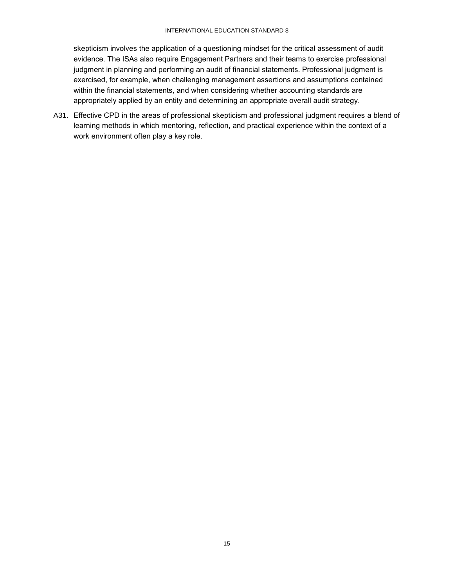#### INTERNATIONAL EDUCATION STANDARD 8

skepticism involves the application of a questioning mindset for the critical assessment of audit evidence. The ISAs also require Engagement Partners and their teams to exercise professional judgment in planning and performing an audit of financial statements. Professional judgment is exercised, for example, when challenging management assertions and assumptions contained within the financial statements, and when considering whether accounting standards are appropriately applied by an entity and determining an appropriate overall audit strategy.

A31. Effective CPD in the areas of professional skepticism and professional judgment requires a blend of learning methods in which mentoring, reflection, and practical experience within the context of a work environment often play a key role.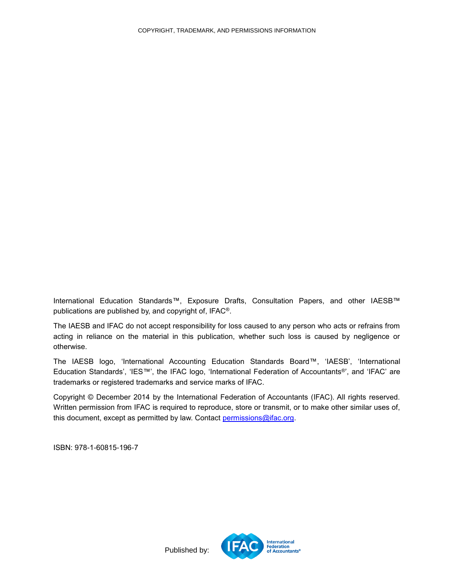<span id="page-15-0"></span>International Education Standards™, Exposure Drafts, Consultation Papers, and other IAESB™ publications are published by, and copyright of, IFAC®.

The IAESB and IFAC do not accept responsibility for loss caused to any person who acts or refrains from acting in reliance on the material in this publication, whether such loss is caused by negligence or otherwise.

The IAESB logo, 'International Accounting Education Standards Board™, 'IAESB', 'International Education Standards', 'IES™', the IFAC logo, 'International Federation of Accountants®', and 'IFAC' are trademarks or registered trademarks and service marks of IFAC.

Copyright © December 2014 by the International Federation of Accountants (IFAC). All rights reserved. Written permission from IFAC is required to reproduce, store or transmit, or to make other similar uses of, this document, except as permitted by law. Contact [permissions@ifac.org.](mailto:permissions@ifac.org)

ISBN: 978-1-60815-196-7



Published by: